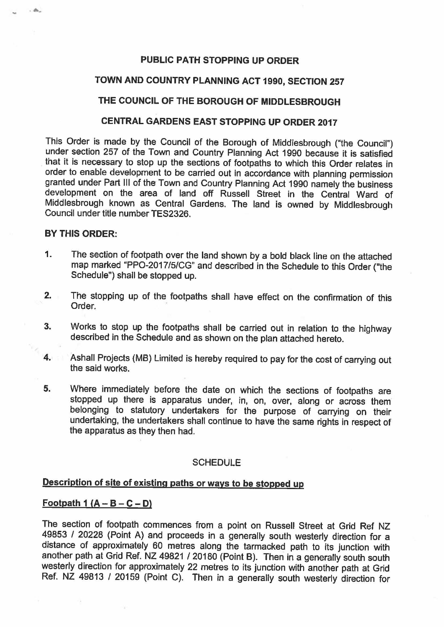## **PUBLIC PATH STOPPING UP ORDER**

### **TOWN AND COUNTRY PLANNING ACT 1990, SECTION 257**

## **THE COUNCIL OF THE BOROUGH OF MIDDLESBROUGH**

## **CENTRAL GARDENS EAST STOPPING UP ORDER 2017**

This Order is made by the Council of the Borough of Middlesbrough ("the Council") under section 257 of the Town and Country Planning Act 1990 because it is satisfied that it is necessary to stop up the sections of footpaths to which this Order relates in order to enable development to be carried out in accordance with planning permission granted under Part Ill of the Town and Country Planning Act 1990 namely the business development on the area of land off Russell Street in the Central Ward of Middlesbrough known as Central Gardens. The land is owned by Middlesbrough Council under title number TES2326.

#### **BY THIS ORDER:**

 $-46$ 

- 1. The section of footpath over the land shown by a bold black line on the attached map marked "PPO-2017/5/CG" and described in the Schedule to this Order ("the Schedule") shall be stopped up.
- 2. The stopping up of the footpaths shall have effect on the confirmation of this Order.
- 3. Works to stop up the footpaths shall be carried out in relation to the highway described in the Schedule and as shown on the plan attached hereto.
- 4. Ashall Projects (MB) Limited is hereby required to pay for the cost of carrying out the said works.
- 5. Where immediately before the date on which the sections of footpaths are stopped up there is apparatus under, in, on, over, along or across them belonging to statutory undertakers for the purpose of carrying on their undertaking, the undertakers shall continue to have the same rights in respect of the apparatus as they then had.

#### **SCHEDULE**

# **Description of site of existing paths or ways to be stopped up**

## **Footpath 1 (A-B-C-D)**

The section of footpath commences from a point on Russell Street at Grid Ref NZ 49853 / 20228 (Point A) and proceeds in a generally south westerly direction for a distance of approximately 60 metres along the tarmacked path to its junction with another path at Grid Ref. NZ 49821 / 20180 (Point B). Then in a generally south south westerly direction for approximately 22 metres to its junction with another path at Grid Ref. NZ 49813 / 20159 (Point C). Then in a generally south westerly direction for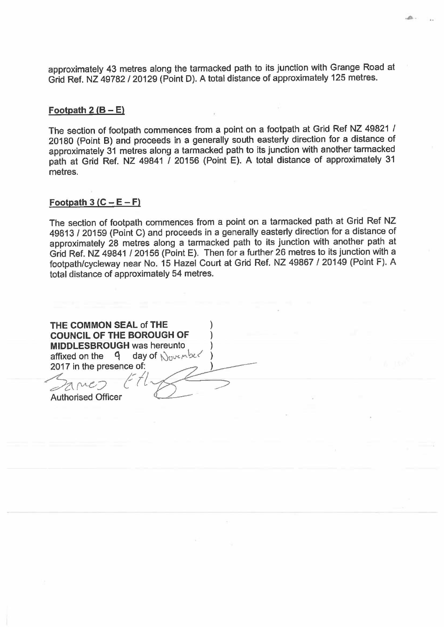approximately 43 metres along the tarmacked path to its junction with Grange Road at Grid Ref. NZ 49782 / 20129 (Point D). A total distance of approximately 125 metres.

....

#### **Footpath 2 (B- E)**

The section of footpath commences from a point on a footpath at Grid Ref NZ 49821 / 20180 (Point B) and proceeds in a generally south easterly direction for a distance of approximately 31 metres along a tarmacked path to its junction with another tarmacked path at Grid Ref. NZ 49841 / 20156 (Point E). A total distance of approximately 31 metres.

### $\text{Footpath } 3 (C - E - F)$

The section of footpath commences from a point on a tarmacked path at Grid Ref NZ 49813 / 20159 (Point C) and proceeds in a generally easterly direction for a distance of approximately 28 metres along a tarmacked path to its junction with another path at Grid Ref. NZ 49841 / 20156 (Point E). Then for a further 26 metres to its junction with a footpath/cycleway near No. 15 Hazel Court at Grid Ref. NZ 49867 / 20149 (Point F). A total distance of approximately 54 metres.

**THE COMMON SEAL of THE COUNCIL OF THE BOROUGH OF MIDDLESBROUGH was** hereunto affixed on the 9 2017 in the presence of:  $z_{\text{ame}}$   $t$ Authorised Officer day of  $\bigwedge_{0 \vee c \wedge bc} c$  $11/8$